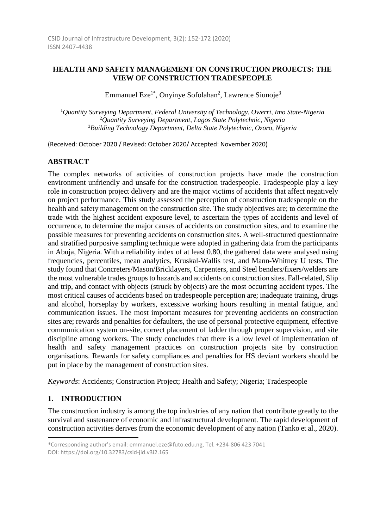# **HEALTH AND SAFETY MANAGEMENT ON CONSTRUCTION PROJECTS: THE VIEW OF CONSTRUCTION TRADESPEOPLE**

Emmanuel Eze<sup>1\*</sup>, Onyinye Sofolahan<sup>2</sup>, Lawrence Siunoje<sup>3</sup>

<sup>1</sup>*Quantity Surveying Department, Federal University of Technology, Owerri, Imo State-Nigeria* <sup>2</sup>*Quantity Surveying Department, Lagos State Polytechnic, Nigeria* <sup>3</sup>*Building Technology Department, Delta State Polytechnic, Ozoro, Nigeria*

(Received: October 2020 / Revised: October 2020/ Accepted: November 2020)

# **ABSTRACT**

The complex networks of activities of construction projects have made the construction environment unfriendly and unsafe for the construction tradespeople. Tradespeople play a key role in construction project delivery and are the major victims of accidents that affect negatively on project performance. This study assessed the perception of construction tradespeople on the health and safety management on the construction site. The study objectives are; to determine the trade with the highest accident exposure level, to ascertain the types of accidents and level of occurrence, to determine the major causes of accidents on construction sites, and to examine the possible measures for preventing accidents on construction sites. A well-structured questionnaire and stratified purposive sampling technique were adopted in gathering data from the participants in Abuja, Nigeria. With a reliability index of at least 0.80, the gathered data were analysed using frequencies, percentiles, mean analytics, Kruskal-Wallis test, and Mann-Whitney U tests. The study found that Concreters/Mason/Bricklayers, Carpenters, and Steel benders/fixers/welders are the most vulnerable trades groups to hazards and accidents on construction sites. Fall-related, Slip and trip, and contact with objects (struck by objects) are the most occurring accident types. The most critical causes of accidents based on tradespeople perception are; inadequate training, drugs and alcohol, horseplay by workers, excessive working hours resulting in mental fatigue, and communication issues. The most important measures for preventing accidents on construction sites are; rewards and penalties for defaulters, the use of personal protective equipment, effective communication system on-site, correct placement of ladder through proper supervision, and site discipline among workers. The study concludes that there is a low level of implementation of health and safety management practices on construction projects site by construction organisations. Rewards for safety compliances and penalties for HS deviant workers should be put in place by the management of construction sites.

*Keywords*: Accidents; Construction Project; Health and Safety; Nigeria; Tradespeople

# **1. INTRODUCTION**

l

The construction industry is among the top industries of any nation that contribute greatly to the survival and sustenance of economic and infrastructural development. The rapid development of construction activities derives from the economic development of any nation (Tanko et al., 2020).

<sup>\*</sup>Corresponding author's email: emmanuel.eze@futo.edu.ng, Tel. +234-806 423 7041 DOI: https://doi.org/10.32783/csid-jid.v3i2.165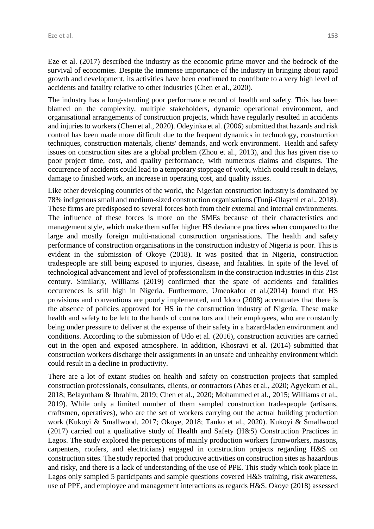Eze et al. (2017) described the industry as the economic prime mover and the bedrock of the survival of economies. Despite the immense importance of the industry in bringing about rapid growth and development, its activities have been confirmed to contribute to a very high level of accidents and fatality relative to other industries (Chen et al., 2020).

The industry has a long-standing poor performance record of health and safety. This has been blamed on the complexity, multiple stakeholders, dynamic operational environment, and organisational arrangements of construction projects, which have regularly resulted in accidents and injuries to workers (Chen et al., 2020). Odeyinka et al. (2006) submitted that hazards and risk control has been made more difficult due to the frequent dynamics in technology, construction techniques, construction materials, clients' demands, and work environment. Health and safety issues on construction sites are a global problem (Zhou et al., 2013), and this has given rise to poor project time, cost, and quality performance, with numerous claims and disputes. The occurrence of accidents could lead to a temporary stoppage of work, which could result in delays, damage to finished work, an increase in operating cost, and quality issues.

Like other developing countries of the world, the Nigerian construction industry is dominated by 78% indigenous small and medium-sized construction organisations (Tunji-Olayeni et al., 2018). These firms are predisposed to several forces both from their external and internal environments. The influence of these forces is more on the SMEs because of their characteristics and management style, which make them suffer higher HS deviance practices when compared to the large and mostly foreign multi-national construction organisations. The health and safety performance of construction organisations in the construction industry of Nigeria is poor. This is evident in the submission of Okoye (2018). It was posited that in Nigeria, construction tradespeople are still being exposed to injuries, disease, and fatalities. In spite of the level of technological advancement and level of professionalism in the construction industries in this 21st century. Similarly, Williams (2019) confirmed that the spate of accidents and fatalities occurrences is still high in Nigeria. Furthermore, Umeokafor et al.(2014) found that HS provisions and conventions are poorly implemented, and Idoro (2008) accentuates that there is the absence of policies approved for HS in the construction industry of Nigeria. These make health and safety to be left to the hands of contractors and their employees, who are constantly being under pressure to deliver at the expense of their safety in a hazard-laden environment and conditions. According to the submission of Udo et al. (2016), construction activities are carried out in the open and exposed atmosphere. In addition, Khosravi et al. (2014) submitted that construction workers discharge their assignments in an unsafe and unhealthy environment which could result in a decline in productivity.

There are a lot of extant studies on health and safety on construction projects that sampled construction professionals, consultants, clients, or contractors (Abas et al., 2020; Agyekum et al., 2018; Belayutham & Ibrahim, 2019; Chen et al., 2020; Mohammed et al., 2015; Williams et al., 2019). While only a limited number of them sampled construction tradespeople (artisans, craftsmen, operatives), who are the set of workers carrying out the actual building production work (Kukoyi & Smallwood, 2017; Okoye, 2018; Tanko et al., 2020). Kukoyi & Smallwood (2017) carried out a qualitative study of Health and Safety (H&S) Construction Practices in Lagos. The study explored the perceptions of mainly production workers (ironworkers, masons, carpenters, roofers, and electricians) engaged in construction projects regarding H&S on construction sites. The study reported that productive activities on construction sites as hazardous and risky, and there is a lack of understanding of the use of PPE. This study which took place in Lagos only sampled 5 participants and sample questions covered H&S training, risk awareness, use of PPE, and employee and management interactions as regards H&S. Okoye (2018) assessed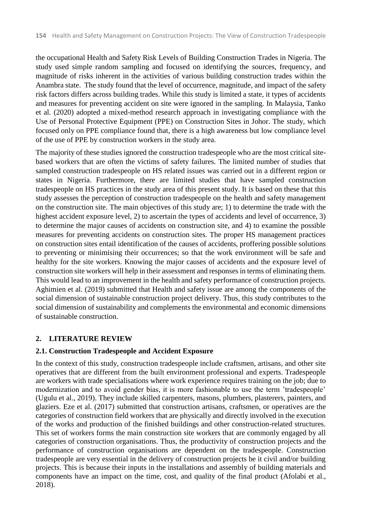the occupational Health and Safety Risk Levels of Building Construction Trades in Nigeria. The study used simple random sampling and focused on identifying the sources, frequency, and magnitude of risks inherent in the activities of various building construction trades within the Anambra state. The study found that the level of occurrence, magnitude, and impact of the safety risk factors differs across building trades. While this study is limited a state, it types of accidents and measures for preventing accident on site were ignored in the sampling. In Malaysia, Tanko et al. (2020) adopted a mixed-method research approach in investigating compliance with the Use of Personal Protective Equipment (PPE) on Construction Sites in Johor. The study, which focused only on PPE compliance found that, there is a high awareness but low compliance level of the use of PPE by construction workers in the study area.

The majority of these studies ignored the construction tradespeople who are the most critical sitebased workers that are often the victims of safety failures. The limited number of studies that sampled construction tradespeople on HS related issues was carried out in a different region or states in Nigeria. Furthermore, there are limited studies that have sampled construction tradespeople on HS practices in the study area of this present study. It is based on these that this study assesses the perception of construction tradespeople on the health and safety management on the construction site. The main objectives of this study are; 1) to determine the trade with the highest accident exposure level, 2) to ascertain the types of accidents and level of occurrence, 3) to determine the major causes of accidents on construction site, and 4) to examine the possible measures for preventing accidents on construction sites. The proper HS management practices on construction sites entail identification of the causes of accidents, proffering possible solutions to preventing or minimising their occurrences; so that the work environment will be safe and healthy for the site workers. Knowing the major causes of accidents and the exposure level of construction site workers will help in their assessment and responses in terms of eliminating them. This would lead to an improvement in the health and safety performance of construction projects. Aghimien et al. (2019) submitted that Health and safety issue are among the components of the social dimension of sustainable construction project delivery. Thus, this study contributes to the social dimension of sustainability and complements the environmental and economic dimensions of sustainable construction.

# **2. LITERATURE REVIEW**

# **2.1. Construction Tradespeople and Accident Exposure**

In the context of this study, construction tradespeople include craftsmen, artisans, and other site operatives that are different from the built environment professional and experts. Tradespeople are workers with trade specialisations where work experience requires training on the job; due to modernization and to avoid gender bias, it is more fashionable to use the term 'tradespeople' (Ugulu et al., 2019). They include skilled carpenters, masons, plumbers, plasterers, painters, and glaziers. Eze et al. (2017) submitted that construction artisans, craftsmen, or operatives are the categories of construction field workers that are physically and directly involved in the execution of the works and production of the finished buildings and other construction-related structures. This set of workers forms the main construction site workers that are commonly engaged by all categories of construction organisations. Thus, the productivity of construction projects and the performance of construction organisations are dependent on the tradespeople. Construction tradespeople are very essential in the delivery of construction projects be it civil and/or building projects. This is because their inputs in the installations and assembly of building materials and components have an impact on the time, cost, and quality of the final product (Afolabi et al., 2018).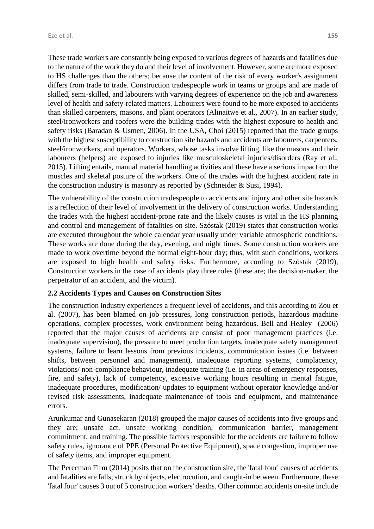These trade workers are constantly being exposed to various degrees of hazards and fatalities due to the nature of the work they do and their level of involvement. However, some are more exposed to HS challenges than the others; because the content of the risk of every worker's assignment differs from trade to trade. Construction tradespeople work in teams or groups and are made of skilled, semi-skilled, and labourers with varying degrees of experience on the job and awareness level of health and safety-related matters. Labourers were found to be more exposed to accidents than skilled carpenters, masons, and plant operators (Alinaitwe et al., 2007). In an earlier study, steel/ironworkers and roofers were the building trades with the highest exposure to health and safety risks (Baradan & Usmen, 2006). In the USA, Choi (2015) reported that the trade groups with the highest susceptibility to construction site hazards and accidents are labourers, carpenters, steel/ironworkers, and operators. Workers, whose tasks involve lifting, like the masons and their labourers (helpers) are exposed to injuries like musculoskeletal injuries/disorders (Ray et al., 2015). Lifting entails, manual material handling activities and these have a serious impact on the muscles and skeletal posture of the workers. One of the trades with the highest accident rate in the construction industry is masonry as reported by (Schneider & Susi, 1994).

The vulnerability of the construction tradespeople to accidents and injury and other site hazards is a reflection of their level of involvement in the delivery of construction works. Understanding the trades with the highest accident-prone rate and the likely causes is vital in the HS planning and control and management of fatalities on site. Szóstak (2019) states that construction works are executed throughout the whole calendar year usually under variable atmospheric conditions. These works are done during the day, evening, and night times. Some construction workers are made to work overtime beyond the normal eight-hour day; thus, with such conditions, workers are exposed to high health and safety risks. Furthermore, according to Szóstak (2019), Construction workers in the case of accidents play three roles (these are; the decision-maker, the perpetrator of an accident, and the victim).

### **2.2 Accidents Types and Causes on Construction Sites**

The construction industry experiences a frequent level of accidents, and this according to Zou et al. (2007), has been blamed on job pressures, long construction periods, hazardous machine operations, complex processes, work environment being hazardous. Bell and Healey (2006) reported that the major causes of accidents are consist of poor management practices (i.e. inadequate supervision), the pressure to meet production targets, inadequate safety management systems, failure to learn lessons from previous incidents, communication issues (i.e. between shifts, between personnel and management), inadequate reporting systems, complacency, violations/ non-compliance behaviour, inadequate training (i.e. in areas of emergency responses, fire, and safety), lack of competency, excessive working hours resulting in mental fatigue, inadequate procedures, modification/ updates to equipment without operator knowledge and/or revised risk assessments, inadequate maintenance of tools and equipment, and maintenance errors.

Arunkumar and Gunasekaran (2018) grouped the major causes of accidents into five groups and they are; unsafe act, unsafe working condition, communication barrier, management commitment, and training. The possible factors responsible for the accidents are failure to follow safety rules, ignorance of PPE (Personal Protective Equipment), space congestion, improper use of safety items, and improper equipment.

The Perecman Firm (2014) posits that on the construction site, the 'fatal four' causes of accidents and fatalities are falls, struck by objects, electrocution, and caught-in between. Furthermore, these 'fatal four' causes 3 out of 5 construction workers' deaths. Other common accidents on-site include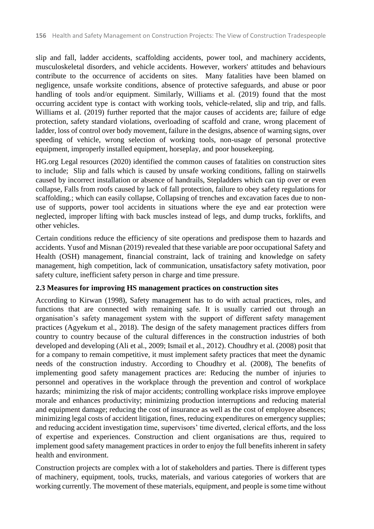slip and fall, ladder accidents, scaffolding accidents, power tool, and machinery accidents, musculoskeletal disorders, and vehicle accidents. However, workers' attitudes and behaviours contribute to the occurrence of accidents on sites. Many fatalities have been blamed on negligence, unsafe worksite conditions, absence of protective safeguards, and abuse or poor handling of tools and/or equipment. Similarly, Williams et al. (2019) found that the most occurring accident type is contact with working tools, vehicle-related, slip and trip, and falls. Williams et al. (2019) further reported that the major causes of accidents are; failure of edge protection, safety standard violations, overloading of scaffold and crane, wrong placement of ladder, loss of control over body movement, failure in the designs, absence of warning signs, over speeding of vehicle, wrong selection of working tools, non-usage of personal protective equipment, improperly installed equipment, horseplay, and poor housekeeping.

HG.org Legal resources (2020) identified the common causes of fatalities on construction sites to include; Slip and falls which is caused by unsafe working conditions, falling on stairwells caused by incorrect installation or absence of handrails, Stepladders which can tip over or even collapse, Falls from roofs caused by lack of fall protection, failure to obey safety regulations for scaffolding.; which can easily collapse, Collapsing of trenches and excavation faces due to nonuse of supports, power tool accidents in situations where the eye and ear protection were neglected, improper lifting with back muscles instead of legs, and dump trucks, forklifts, and other vehicles.

Certain conditions reduce the efficiency of site operations and predispose them to hazards and accidents. Yusof and Misnan (2019) revealed that these variable are poor occupational Safety and Health (OSH) management, financial constraint, lack of training and knowledge on safety management, high competition, lack of communication, unsatisfactory safety motivation, poor safety culture, inefficient safety person in charge and time pressure.

# **2.3 Measures for improving HS management practices on construction sites**

According to Kirwan (1998), Safety management has to do with actual practices, roles, and functions that are connected with remaining safe. It is usually carried out through an organisation's safety management system with the support of different safety management practices (Agyekum et al., 2018). The design of the safety management practices differs from country to country because of the cultural differences in the construction industries of both developed and developing (Ali et al., 2009; Ismail et al., 2012). Choudhry et al. (2008) posit that for a company to remain competitive, it must implement safety practices that meet the dynamic needs of the construction industry. According to Choudhry et al. (2008), The benefits of implementing good safety management practices are: Reducing the number of injuries to personnel and operatives in the workplace through the prevention and control of workplace hazards; minimizing the risk of major accidents; controlling workplace risks improve employee morale and enhances productivity; minimizing production interruptions and reducing material and equipment damage; reducing the cost of insurance as well as the cost of employee absences; minimizing legal costs of accident litigation, fines, reducing expenditures on emergency supplies; and reducing accident investigation time, supervisors' time diverted, clerical efforts, and the loss of expertise and experiences. Construction and client organisations are thus, required to implement good safety management practices in order to enjoy the full benefits inherent in safety health and environment.

Construction projects are complex with a lot of stakeholders and parties. There is different types of machinery, equipment, tools, trucks, materials, and various categories of workers that are working currently. The movement of these materials, equipment, and people is some time without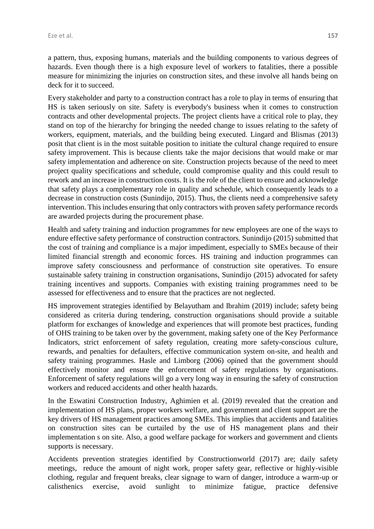a pattern, thus, exposing humans, materials and the building components to various degrees of hazards. Even though there is a high exposure level of workers to fatalities, there a possible measure for minimizing the injuries on construction sites, and these involve all hands being on deck for it to succeed.

Every stakeholder and party to a construction contract has a role to play in terms of ensuring that HS is taken seriously on site. Safety is everybody's business when it comes to construction contracts and other developmental projects. The project clients have a critical role to play, they stand on top of the hierarchy for bringing the needed change to issues relating to the safety of workers, equipment, materials, and the building being executed. Lingard and Blismas (2013) posit that client is in the most suitable position to initiate the cultural change required to ensure safety improvement. This is because clients take the major decisions that would make or mar safety implementation and adherence on site. Construction projects because of the need to meet project quality specifications and schedule, could compromise quality and this could result to rework and an increase in construction costs. It is the role of the client to ensure and acknowledge that safety plays a complementary role in quality and schedule, which consequently leads to a decrease in construction costs (Sunindijo, 2015). Thus, the clients need a comprehensive safety intervention. This includes ensuring that only contractors with proven safety performance records are awarded projects during the procurement phase.

Health and safety training and induction programmes for new employees are one of the ways to endure effective safety performance of construction contractors. Sunindijo (2015) submitted that the cost of training and compliance is a major impediment, especially to SMEs because of their limited financial strength and economic forces. HS training and induction programmes can improve safety consciousness and performance of construction site operatives. To ensure sustainable safety training in construction organisations, Sunindijo (2015) advocated for safety training incentives and supports. Companies with existing training programmes need to be assessed for effectiveness and to ensure that the practices are not neglected.

HS improvement strategies identified by Belayutham and Ibrahim (2019) include; safety being considered as criteria during tendering, construction organisations should provide a suitable platform for exchanges of knowledge and experiences that will promote best practices, funding of OHS training to be taken over by the government, making safety one of the Key Performance Indicators, strict enforcement of safety regulation, creating more safety-conscious culture, rewards, and penalties for defaulters, effective communication system on-site, and health and safety training programmes. Hasle and Limborg (2006) opined that the government should effectively monitor and ensure the enforcement of safety regulations by organisations. Enforcement of safety regulations will go a very long way in ensuring the safety of construction workers and reduced accidents and other health hazards.

In the Eswatini Construction Industry, Aghimien et al. (2019) revealed that the creation and implementation of HS plans, proper workers welfare, and government and client support are the key drivers of HS management practices among SMEs. This implies that accidents and fatalities on construction sites can be curtailed by the use of HS management plans and their implementation s on site. Also, a good welfare package for workers and government and clients supports is necessary.

Accidents prevention strategies identified by Constructionworld (2017) are; daily safety meetings, reduce the amount of night work, proper safety gear, reflective or highly-visible clothing, regular and frequent breaks, clear signage to warn of danger, introduce a warm-up or calisthenics exercise, avoid sunlight to minimize fatigue, practice defensive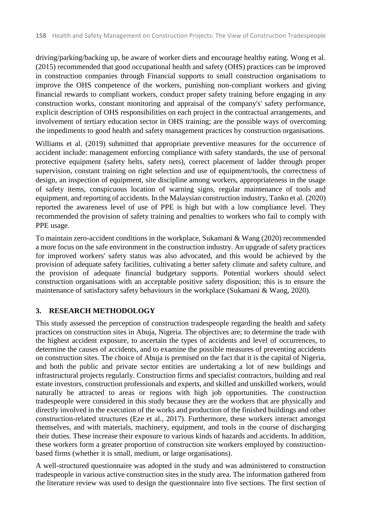driving/parking/backing up, be aware of worker diets and encourage healthy eating. Wong et al. (2015) recommended that good occupational health and safety (OHS) practices can be improved in construction companies through Financial supports to small construction organisations to improve the OHS competence of the workers, punishing non-compliant workers and giving financial rewards to compliant workers, conduct proper safety training before engaging in any construction works, constant monitoring and appraisal of the company's' safety performance, explicit description of OHS responsibilities on each project in the contractual arrangements, and involvement of tertiary education sector in OHS training; are the possible ways of overcoming the impediments to good health and safety management practices by construction organisations.

Williams et al. (2019) submitted that appropriate preventive measures for the occurrence of accident include: management enforcing compliance with safety standards, the use of personal protective equipment (safety belts, safety nets), correct placement of ladder through proper supervision, constant training on right selection and use of equipment/tools, the correctness of design, an inspection of equipment, site discipline among workers, appropriateness in the usage of safety items, conspicuous location of warning signs, regular maintenance of tools and equipment, and reporting of accidents. In the Malaysian construction industry, Tanko et al. (2020) reported the awareness level of use of PPE is high but with a low compliance level. They recommended the provision of safety training and penalties to workers who fail to comply with PPE usage.

To maintain zero-accident conditions in the workplace, Sukamani & Wang (2020) recommended a more focus on the safe environment in the construction industry. An upgrade of safety practices for improved workers' safety status was also advocated, and this would be achieved by the provision of adequate safety facilities, cultivating a better safety climate and safety culture, and the provision of adequate financial budgetary supports. Potential workers should select construction organisations with an acceptable positive safety disposition; this is to ensure the maintenance of satisfactory safety behaviours in the workplace (Sukamani & Wang, 2020).

# **3. RESEARCH METHODOLOGY**

This study assessed the perception of construction tradespeople regarding the health and safety practices on construction sites in Abuja, Nigeria. The objectives are; to determine the trade with the highest accident exposure, to ascertain the types of accidents and level of occurrences, to determine the causes of accidents, and to examine the possible measures of preventing accidents on construction sites. The choice of Abuja is premised on the fact that it is the capital of Nigeria, and both the public and private sector entities are undertaking a lot of new buildings and infrastructural projects regularly. Construction firms and specialist contractors, building and real estate investors, construction professionals and experts, and skilled and unskilled workers, would naturally be attracted to areas or regions with high job opportunities. The construction tradespeople were considered in this study because they are the workers that are physically and directly involved in the execution of the works and production of the finished buildings and other construction-related structures (Eze et al., 2017). Furthermore, these workers interact amongst themselves, and with materials, machinery, equipment, and tools in the course of discharging their duties. These increase their exposure to various kinds of hazards and accidents. In addition, these workers form a greater proportion of construction site workers employed by constructionbased firms (whether it is small, medium, or large organisations).

A well-structured questionnaire was adopted in the study and was administered to construction tradespeople in various active construction sites in the study area. The information gathered from the literature review was used to design the questionnaire into five sections. The first section of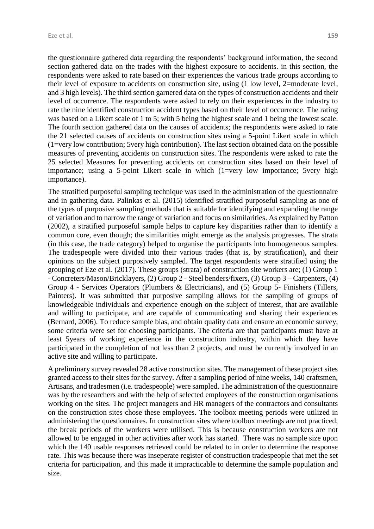the questionnaire gathered data regarding the respondents' background information, the second section gathered data on the trades with the highest exposure to accidents. in this section, the respondents were asked to rate based on their experiences the various trade groups according to their level of exposure to accidents on construction site, using (1 low level, 2=moderate level, and 3 high levels). The third section garnered data on the types of construction accidents and their level of occurrence. The respondents were asked to rely on their experiences in the industry to rate the nine identified construction accident types based on their level of occurrence. The rating was based on a Likert scale of 1 to 5; with 5 being the highest scale and 1 being the lowest scale. The fourth section gathered data on the causes of accidents; the respondents were asked to rate the 21 selected causes of accidents on construction sites using a 5-point Likert scale in which (1=very low contribution; 5very high contribution). The last section obtained data on the possible measures of preventing accidents on construction sites. The respondents were asked to rate the 25 selected Measures for preventing accidents on construction sites based on their level of importance; using a 5-point Likert scale in which (1=very low importance; 5very high importance).

The stratified purposeful sampling technique was used in the administration of the questionnaire and in gathering data. Palinkas et al. (2015) identified stratified purposeful sampling as one of the types of purposive sampling methods that is suitable for identifying and expanding the range of variation and to narrow the range of variation and focus on similarities. As explained by Patton (2002), a stratified purposeful sample helps to capture key disparities rather than to identify a common core, even though; the similarities might emerge as the analysis progresses. The strata (in this case, the trade category) helped to organise the participants into homogeneous samples. The tradespeople were divided into their various trades (that is, by stratification), and their opinions on the subject purposively sampled. The target respondents were stratified using the grouping of Eze et al. (2017). These groups (strata) of construction site workers are; (1) Group 1 - Concreters/Mason/Bricklayers, (2) Group 2 - Steel benders/fixers, (3) Group 3 – Carpenters, (4) Group 4 - Services Operators (Plumbers & Electricians), and (5) Group 5- Finishers (Tillers, Painters). It was submitted that purposive sampling allows for the sampling of groups of knowledgeable individuals and experience enough on the subject of interest, that are available and willing to participate, and are capable of communicating and sharing their experiences (Bernard, 2006). To reduce sample bias, and obtain quality data and ensure an economic survey, some criteria were set for choosing participants. The criteria are that participants must have at least 5years of working experience in the construction industry, within which they have participated in the completion of not less than 2 projects, and must be currently involved in an active site and willing to participate.

A preliminary survey revealed 28 active construction sites. The management of these project sites granted access to their sites for the survey. After a sampling period of nine weeks, 140 craftsmen, Artisans, and tradesmen (i.e. tradespeople) were sampled. The administration of the questionnaire was by the researchers and with the help of selected employees of the construction organisations working on the sites. The project managers and HR managers of the contractors and consultants on the construction sites chose these employees. The toolbox meeting periods were utilized in administering the questionnaires. In construction sites where toolbox meetings are not practiced, the break periods of the workers were utilised. This is because construction workers are not allowed to be engaged in other activities after work has started. There was no sample size upon which the 140 usable responses retrieved could be related to in order to determine the response rate. This was because there was inseperate register of construction tradespeople that met the set criteria for participation, and this made it impracticable to determine the sample population and size.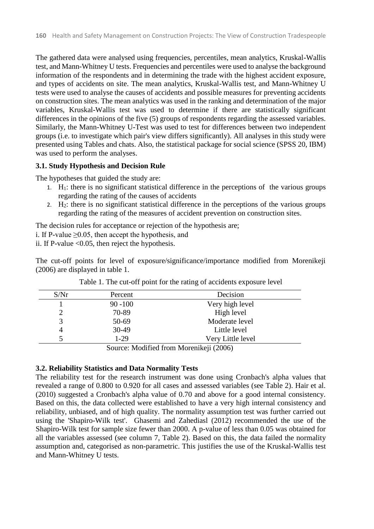The gathered data were analysed using frequencies, percentiles, mean analytics, Kruskal-Wallis test, and Mann-Whitney U tests. Frequencies and percentiles were used to analyse the background information of the respondents and in determining the trade with the highest accident exposure, and types of accidents on site. The mean analytics, Kruskal-Wallis test, and Mann-Whitney U tests were used to analyse the causes of accidents and possible measures for preventing accidents on construction sites. The mean analytics was used in the ranking and determination of the major variables, Kruskal-Wallis test was used to determine if there are statistically significant differences in the opinions of the five (5) groups of respondents regarding the assessed variables. Similarly, the Mann-Whitney U-Test was used to test for differences between two independent groups (i.e. to investigate which pair's view differs significantly). All analyses in this study were presented using Tables and chats. Also, the statistical package for social science (SPSS 20, IBM) was used to perform the analyses.

#### **3.1. Study Hypothesis and Decision Rule**

The hypotheses that guided the study are:

- 1.  $H_1$ : there is no significant statistical difference in the perceptions of the various groups regarding the rating of the causes of accidents
- 2.  $H_2$ : there is no significant statistical difference in the perceptions of the various groups regarding the rating of the measures of accident prevention on construction sites.

The decision rules for acceptance or rejection of the hypothesis are;

i. If P-value  $\geq$ 0.05, then accept the hypothesis, and

ii. If P-value  $<0.05$ , then reject the hypothesis.

The cut-off points for level of exposure/significance/importance modified from Morenikeji (2006) are displayed in table 1.

| S/Nr | Percent    | Decision          |
|------|------------|-------------------|
|      | $90 - 100$ | Very high level   |
|      | 70-89      | High level        |
|      | 50-69      | Moderate level    |
| 4    | 30-49      | Little level      |
|      | $1-29$     | Very Little level |

|  |  |  |  |  |  |  | Table 1. The cut-off point for the rating of accidents exposure level |  |  |  |
|--|--|--|--|--|--|--|-----------------------------------------------------------------------|--|--|--|
|--|--|--|--|--|--|--|-----------------------------------------------------------------------|--|--|--|

Source: Modified from Morenikeji (2006)

#### **3.2. Reliability Statistics and Data Normality Tests**

The reliability test for the research instrument was done using Cronbach's alpha values that revealed a range of 0.800 to 0.920 for all cases and assessed variables (see Table 2). Hair et al. (2010) suggested a Cronbach's alpha value of 0.70 and above for a good internal consistency. Based on this, the data collected were established to have a very high internal consistency and reliability, unbiased, and of high quality. The normality assumption test was further carried out using the 'Shapiro-Wilk test'. Ghasemi and Zahediasl (2012) recommended the use of the Shapiro-Wilk test for sample size fewer than 2000. A p-value of less than 0.05 was obtained for all the variables assessed (see column 7, Table 2). Based on this, the data failed the normality assumption and, categorised as non-parametric. This justifies the use of the Kruskal-Wallis test and Mann-Whitney U tests.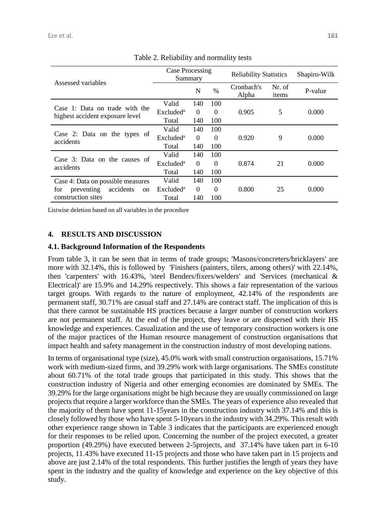| Assessed variables                                                | Case Processing<br>Summary |          |          | <b>Reliability Statistics</b> |                 | Shapiro-Wilk |
|-------------------------------------------------------------------|----------------------------|----------|----------|-------------------------------|-----------------|--------------|
|                                                                   |                            | N        | $\%$     | Cronbach's<br>Alpha           | Nr. of<br>items | P-value      |
|                                                                   | Valid                      | 140      | 100      |                               |                 |              |
| Case 1: Data on trade with the<br>highest accident exposure level | Excluded <sup>a</sup>      | $\Omega$ | $\Omega$ | 0.905                         | 5               | 0.000        |
|                                                                   | Total                      | 140      | 100      |                               |                 |              |
|                                                                   | Valid                      | 140      | 100      |                               |                 |              |
| Case 2: Data on the types of<br>accidents                         | Excluded <sup>a</sup>      | $\Omega$ | $\Omega$ | 0.920                         | 9               | 0.000        |
|                                                                   | Total                      | 140      | 100      |                               |                 |              |
|                                                                   | Valid                      | 140      | 100      |                               |                 |              |
| Case 3: Data on the causes of<br>accidents                        | Excluded <sup>a</sup>      | $\Omega$ | $\Omega$ | 0.874                         | 21              | 0.000        |
|                                                                   | Total                      | 140      | 100      |                               |                 |              |
| Case 4: Data on possible measures                                 | Valid                      | 140      | 100      |                               |                 |              |
| preventing<br>accidents<br>for<br><sub>on</sub>                   | Excluded <sup>a</sup>      | $\Omega$ | $\Omega$ | 0.800                         | 25              | 0.000        |
| construction sites                                                | Total                      | 140      | 100      |                               |                 |              |

Table 2. Reliability and normality tests

Listwise deletion based on all variables in the procedure

#### **4. RESULTS AND DISCUSSION**

#### **4.1. Background Information of the Respondents**

From table 3, it can be seen that in terms of trade groups; 'Masons/concreters/bricklayers' are more with 32.14%, this is followed by 'Finishers (painters, tilers, among others)' with 22.14%, then 'carpenters' with 16.43%, 'steel Benders/fixers/welders' and 'Services (mechanical & Electrical)' are 15.9% and 14.29% respectively. This shows a fair representation of the various target groups. With regards to the nature of employment, 42.14% of the respondents are permanent staff, 30.71% are casual staff and 27.14% are contract staff. The implication of this is that there cannot be sustainable HS practices because a larger number of construction workers are not permanent staff. At the end of the project, they leave or are dispersed with their HS knowledge and experiences. Casualization and the use of temporary construction workers is one of the major practices of the Human resource management of construction organisations that impact health and safety management in the construction industry of most developing nations.

In terms of organisational type (size), 45.0% work with small construction organisations, 15.71% work with medium-sized firms, and 39.29% work with large organisations. The SMEs constitute about 60.71% of the total trade groups that participated in this study. This shows that the construction industry of Nigeria and other emerging economies are dominated by SMEs. The 39.29% for the large organisations might be high because they are usually commissioned on large projects that require a larger workforce than the SMEs. The years of experience also revealed that the majority of them have spent 11-15years in the construction industry with 37.14% and this is closely followed by those who have spent 5-10years in the industry with 34.29%. This result with other experience range shown in Table 3 indicates that the participants are experienced enough for their responses to be relied upon. Concerning the number of the project executed, a greater proportion (49.29%) have executed between 2-5projects, and 37.14% have taken part in 6-10 projects, 11.43% have executed 11-15 projects and those who have taken part in 15 projects and above are just 2.14% of the total respondents. This further justifies the length of years they have spent in the industry and the quality of knowledge and experience on the key objective of this study.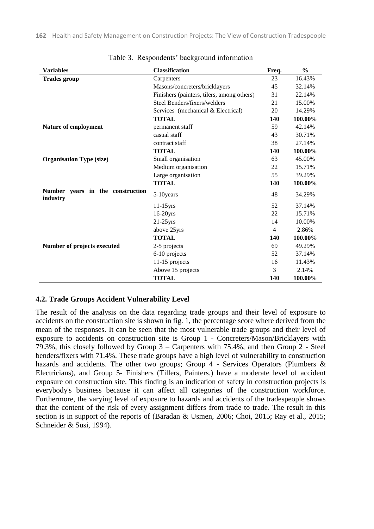| <b>Variables</b>                             | <b>Classification</b>                      | Freq.          | $\frac{0}{0}$ |
|----------------------------------------------|--------------------------------------------|----------------|---------------|
| <b>Trades group</b>                          | Carpenters                                 | 23             | 16.43%        |
|                                              | Masons/concreters/bricklayers              | 45             | 32.14%        |
|                                              | Finishers (painters, tilers, among others) | 31             | 22.14%        |
|                                              | Steel Benders/fixers/welders               | 21             | 15.00%        |
|                                              | Services (mechanical & Electrical)         | 20             | 14.29%        |
|                                              | <b>TOTAL</b>                               | 140            | 100.00%       |
| Nature of employment                         | permanent staff                            | 59             | 42.14%        |
|                                              | casual staff                               | 43             | 30.71%        |
|                                              | contract staff                             | 38             | 27.14%        |
|                                              | <b>TOTAL</b>                               | 140            | 100.00%       |
| <b>Organisation Type (size)</b>              | Small organisation                         | 63             | 45.00%        |
|                                              | Medium organisation                        | 22             | 15.71%        |
|                                              | Large organisation                         | 55             | 39.29%        |
|                                              | <b>TOTAL</b>                               | 140            | 100.00%       |
| Number years in the construction<br>industry | 5-10 years                                 | 48             | 34.29%        |
|                                              | $11-15$ yrs                                | 52             | 37.14%        |
|                                              | 16-20yrs                                   | 22             | 15.71%        |
|                                              | $21-25$ yrs                                | 14             | 10.00%        |
|                                              | above 25yrs                                | $\overline{4}$ | 2.86%         |
|                                              | <b>TOTAL</b>                               | 140            | 100.00%       |
| Number of projects executed                  | 2-5 projects                               | 69             | 49.29%        |
|                                              | 6-10 projects                              | 52             | 37.14%        |
|                                              | 11-15 projects                             | 16             | 11.43%        |
|                                              | Above 15 projects                          | 3              | 2.14%         |
|                                              | <b>TOTAL</b>                               | 140            | 100.00%       |

Table 3. Respondents' background information

#### **4.2. Trade Groups Accident Vulnerability Level**

The result of the analysis on the data regarding trade groups and their level of exposure to accidents on the construction site is shown in fig. 1, the percentage score where derived from the mean of the responses. It can be seen that the most vulnerable trade groups and their level of exposure to accidents on construction site is Group 1 - Concreters/Mason/Bricklayers with 79.3%, this closely followed by Group 3 – Carpenters with 75.4%, and then Group 2 - Steel benders/fixers with 71.4%. These trade groups have a high level of vulnerability to construction hazards and accidents. The other two groups; Group 4 - Services Operators (Plumbers & Electricians), and Group 5- Finishers (Tillers, Painters.) have a moderate level of accident exposure on construction site. This finding is an indication of safety in construction projects is everybody's business because it can affect all categories of the construction workforce. Furthermore, the varying level of exposure to hazards and accidents of the tradespeople shows that the content of the risk of every assignment differs from trade to trade. The result in this section is in support of the reports of (Baradan & Usmen, 2006; Choi, 2015; Ray et al., 2015; Schneider & Susi, 1994).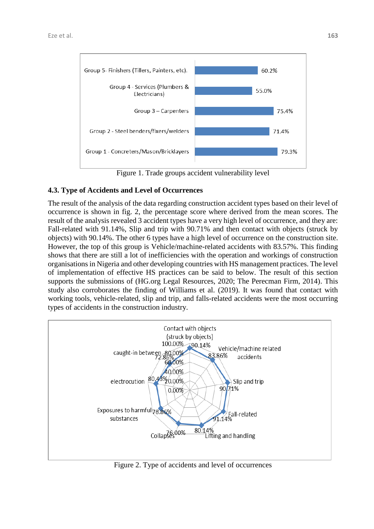

Figure 1. Trade groups accident vulnerability level

### **4.3. Type of Accidents and Level of Occurrences**

The result of the analysis of the data regarding construction accident types based on their level of occurrence is shown in fig. 2, the percentage score where derived from the mean scores. The result of the analysis revealed 3 accident types have a very high level of occurrence, and they are: Fall-related with 91.14%, Slip and trip with 90.71% and then contact with objects (struck by objects) with 90.14%. The other 6 types have a high level of occurrence on the construction site. However, the top of this group is Vehicle/machine-related accidents with 83.57%. This finding shows that there are still a lot of inefficiencies with the operation and workings of construction organisations in Nigeria and other developing countries with HS management practices. The level of implementation of effective HS practices can be said to below. The result of this section supports the submissions of (HG.org Legal Resources, 2020; The Perecman Firm, 2014). This study also corroborates the finding of Williams et al. (2019). It was found that contact with working tools, vehicle-related, slip and trip, and falls-related accidents were the most occurring types of accidents in the construction industry.



Figure 2. Type of accidents and level of occurrences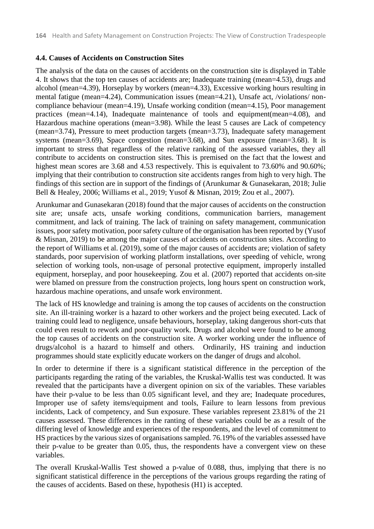### **4.4. Causes of Accidents on Construction Sites**

The analysis of the data on the causes of accidents on the construction site is displayed in Table 4. It shows that the top ten causes of accidents are; Inadequate training (mean=4.53), drugs and alcohol (mean=4.39), Horseplay by workers (mean=4.33), Excessive working hours resulting in mental fatigue (mean=4.24), Communication issues (mean=4.21), Unsafe act, /violations/ noncompliance behaviour (mean=4.19), Unsafe working condition (mean=4.15), Poor management practices (mean=4.14), Inadequate maintenance of tools and equipment(mean=4.08), and Hazardous machine operations (mean=3.98). While the least 5 causes are Lack of competency (mean=3.74), Pressure to meet production targets (mean=3.73), Inadequate safety management systems (mean=3.69), Space congestion (mean=3.68), and Sun exposure (mean=3.68). It is important to stress that regardless of the relative ranking of the assessed variables, they all contribute to accidents on construction sites. This is premised on the fact that the lowest and highest mean scores are 3.68 and 4.53 respectively. This is equivalent to 73.60% and 90.60%; implying that their contribution to construction site accidents ranges from high to very high. The findings of this section are in support of the findings of (Arunkumar & Gunasekaran, 2018; Julie Bell & Healey, 2006; Williams et al., 2019; Yusof & Misnan, 2019; Zou et al., 2007).

Arunkumar and Gunasekaran (2018) found that the major causes of accidents on the construction site are; unsafe acts, unsafe working conditions, communication barriers, management commitment, and lack of training. The lack of training on safety management, communication issues, poor safety motivation, poor safety culture of the organisation has been reported by (Yusof & Misnan, 2019) to be among the major causes of accidents on construction sites. According to the report of Williams et al. (2019), some of the major causes of accidents are; violation of safety standards, poor supervision of working platform installations, over speeding of vehicle, wrong selection of working tools, non-usage of personal protective equipment, improperly installed equipment, horseplay, and poor housekeeping. Zou et al. (2007) reported that accidents on-site were blamed on pressure from the construction projects, long hours spent on construction work, hazardous machine operations, and unsafe work environment.

The lack of HS knowledge and training is among the top causes of accidents on the construction site. An ill-training worker is a hazard to other workers and the project being executed. Lack of training could lead to negligence, unsafe behaviours, horseplay, taking dangerous short-cuts that could even result to rework and poor-quality work. Drugs and alcohol were found to be among the top causes of accidents on the construction site. A worker working under the influence of drugs/alcohol is a hazard to himself and others. Ordinarily, HS training and induction programmes should state explicitly educate workers on the danger of drugs and alcohol.

In order to determine if there is a significant statistical difference in the perception of the participants regarding the rating of the variables, the Kruskal-Wallis test was conducted. It was revealed that the participants have a divergent opinion on six of the variables. These variables have their p-value to be less than 0.05 significant level, and they are; Inadequate procedures, Improper use of safety items/equipment and tools, Failure to learn lessons from previous incidents, Lack of competency, and Sun exposure. These variables represent 23.81% of the 21 causes assessed. These differences in the ranting of these variables could be as a result of the differing level of knowledge and experiences of the respondents, and the level of commitment to HS practices by the various sizes of organisations sampled. 76.19% of the variables assessed have their p-value to be greater than 0.05, thus, the respondents have a convergent view on these variables.

The overall Kruskal-Wallis Test showed a p-value of 0.088, thus, implying that there is no significant statistical difference in the perceptions of the various groups regarding the rating of the causes of accidents. Based on these, hypothesis (H1) is accepted.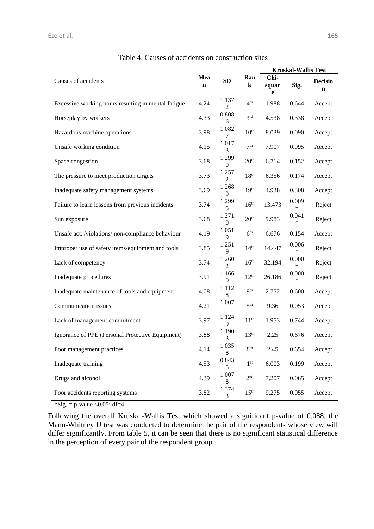|                                                     |                    |                         |                  | <b>Kruskal-Wallis Test</b> |                 |                               |
|-----------------------------------------------------|--------------------|-------------------------|------------------|----------------------------|-----------------|-------------------------------|
| Causes of accidents                                 | Mea<br>$\mathbf n$ | SD                      | Ran<br>$\bf k$   | Chi-<br>squar<br>e         | Sig.            | <b>Decisio</b><br>$\mathbf n$ |
| Excessive working hours resulting in mental fatigue | 4.24               | 1.137<br>2              | 4 <sup>th</sup>  | 1.988                      | 0.644           | Accept                        |
| Horseplay by workers                                | 4.33               | 0.808<br>6              | 3 <sup>rd</sup>  | 4.538                      | 0.338           | Accept                        |
| Hazardous machine operations                        | 3.98               | 1.082<br>7              | 10 <sup>th</sup> | 8.039                      | 0.090           | Accept                        |
| Unsafe working condition                            | 4.15               | 1.017<br>3              | 7 <sup>th</sup>  | 7.907                      | 0.095           | Accept                        |
| Space congestion                                    | 3.68               | 1.299<br>$\Omega$       | 20 <sup>th</sup> | 6.714                      | 0.152           | Accept                        |
| The pressure to meet production targets             | 3.73               | 1.257<br>$\overline{2}$ | 18 <sup>th</sup> | 6.356                      | 0.174           | Accept                        |
| Inadequate safety management systems                | 3.69               | 1.268<br>9              | 19 <sup>th</sup> | 4.938                      | 0.308           | Accept                        |
| Failure to learn lessons from previous incidents    | 3.74               | 1.299<br>5              | 16 <sup>th</sup> | 13.473                     | 0.009<br>$\ast$ | Reject                        |
| Sun exposure                                        | 3.68               | 1.271<br>$\mathbf{0}$   | 20 <sup>th</sup> | 9.983                      | 0.041<br>$\ast$ | Reject                        |
| Unsafe act, /violations/ non-compliance behaviour   | 4.19               | 1.051<br>9              | 6 <sup>th</sup>  | 6.676                      | 0.154           | Accept                        |
| Improper use of safety items/equipment and tools    | 3.85               | 1.251<br>9              | 14 <sup>th</sup> | 14.447                     | 0.006<br>$\ast$ | Reject                        |
| Lack of competency                                  | 3.74               | 1.260<br>$\overline{2}$ | 16 <sup>th</sup> | 32.194                     | 0.000<br>$\ast$ | Reject                        |
| Inadequate procedures                               | 3.91               | 1.166<br>$\overline{0}$ | $12^{th}$        | 26.186                     | 0.000<br>*      | Reject                        |
| Inadequate maintenance of tools and equipment       | 4.08               | 1.112<br>8              | <b>9th</b>       | 2.752                      | 0.600           | Accept                        |
| Communication issues                                | 4.21               | 1.007<br>1              | 5 <sup>th</sup>  | 9.36                       | 0.053           | Accept                        |
| Lack of management commitment                       | 3.97               | 1.124<br>9              | 11 <sup>th</sup> | 1.953                      | 0.744           | Accept                        |
| Ignorance of PPE (Personal Protective Equipment)    | 3.88               | 1.190<br>3              | 13 <sup>th</sup> | 2.25                       | 0.676           | Accept                        |
| Poor management practices                           | 4.14               | 1.035<br>8              | 8 <sup>th</sup>  | 2.45                       | 0.654           | Accept                        |
| Inadequate training                                 | 4.53               | 0.843<br>5              | $1^\mathrm{st}$  | 6.003                      | 0.199           | Accept                        |
| Drugs and alcohol                                   | 4.39               | 1.007<br>8              | 2 <sup>nd</sup>  | 7.207                      | 0.065           | Accept                        |
| Poor accidents reporting systems                    | 3.82               | 1.374<br>3              | 15 <sup>th</sup> | 9.275                      | 0.055           | Accept                        |

Table 4. Causes of accidents on construction sites

 $\text{``Sig.} = \text{p-value} < 0.05$ ; df=4

Following the overall Kruskal-Wallis Test which showed a significant p-value of 0.088, the Mann-Whitney U test was conducted to determine the pair of the respondents whose view will differ significantly. From table 5, it can be seen that there is no significant statistical difference in the perception of every pair of the respondent group.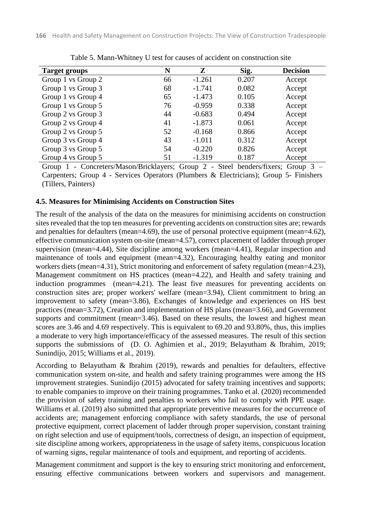| <b>Target groups</b> | N  | Z        | Sig.  | <b>Decision</b> |
|----------------------|----|----------|-------|-----------------|
| Group 1 vs Group 2   | 66 | $-1.261$ | 0.207 | Accept          |
| Group 1 vs Group 3   | 68 | $-1.741$ | 0.082 | Accept          |
| Group 1 vs Group 4   | 65 | $-1.473$ | 0.105 | Accept          |
| Group 1 vs Group 5   | 76 | $-0.959$ | 0.338 | Accept          |
| Group 2 vs Group 3   | 44 | $-0.683$ | 0.494 | Accept          |
| Group 2 vs Group 4   | 41 | $-1.873$ | 0.061 | Accept          |
| Group 2 vs Group 5   | 52 | $-0.168$ | 0.866 | Accept          |
| Group 3 vs Group 4   | 43 | $-1.011$ | 0.312 | Accept          |
| Group 3 vs Group 5   | 54 | $-0.220$ | 0.826 | Accept          |
| Group 4 vs Group 5   | 51 | $-1.319$ | 0.187 | Accept          |

Table 5. Mann-Whitney U test for causes of accident on construction site

Group 1 - Concreters/Mason/Bricklayers; Group 2 - Steel benders/fixers; Group 3 – Carpenters; Group 4 - Services Operators (Plumbers & Electricians); Group 5- Finishers (Tillers, Painters)

#### **4.5. Measures for Minimising Accidents on Construction Sites**

The result of the analysis of the data on the measures for minimising accidents on construction sites revealed that the top ten measures for preventing accidents on construction sites are; rewards and penalties for defaulters (mean=4.69), the use of personal protective equipment (mean=4.62), effective communication system on-site (mean=4.57), correct placement of ladder through proper supervision (mean=4.44), Site discipline among workers (mean=4.41), Regular inspection and maintenance of tools and equipment (mean=4.32), Encouraging healthy eating and monitor workers diets (mean=4.31), Strict monitoring and enforcement of safety regulation (mean=4.23), Management commitment on HS practices (mean=4.22), and Health and safety training and induction programmes (mean=4.21). The least five measures for preventing accidents on construction sites are; proper workers' welfare (mean=3.94), Client commitment to bring an improvement to safety (mean=3.86), Exchanges of knowledge and experiences on HS best practices (mean=3.72), Creation and implementation of HS plans (mean=3.66), and Government supports and commitment (mean=3.46). Based on these results, the lowest and highest mean scores are 3.46 and 4.69 respectively. This is equivalent to 69.20 and 93.80%, thus, this implies a moderate to very high importance/efficacy of the assessed measures. The result of this section supports the submissions of (D. O. Aghimien et al., 2019; Belayutham & Ibrahim, 2019; Sunindijo, 2015; Williams et al., 2019).

According to Belayutham & Ibrahim (2019), rewards and penalties for defaulters, effective communication system on-site, and health and safety training programmes were among the HS improvement strategies. Sunindijo (2015) advocated for safety training incentives and supports; to enable companies to improve on their training programmes. Tanko et al. (2020) recommended the provision of safety training and penalties to workers who fail to comply with PPE usage. Williams et al. (2019) also submitted that appropriate preventive measures for the occurrence of accidents are; management enforcing compliance with safety standards, the use of personal protective equipment, correct placement of ladder through proper supervision, constant training on right selection and use of equipment/tools, correctness of design, an inspection of equipment, site discipline among workers, appropriateness in the usage of safety items, conspicuous location of warning signs, regular maintenance of tools and equipment, and reporting of accidents.

Management commitment and support is the key to ensuring strict monitoring and enforcement, ensuring effective communications between workers and supervisors and management.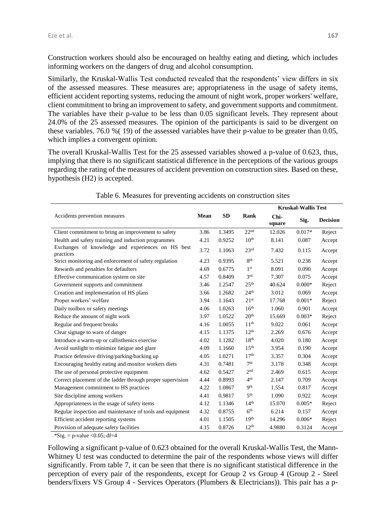Construction workers should also be encouraged on healthy eating and dieting, which includes informing workers on the dangers of drug and alcohol consumption.

Similarly, the Kruskal-Wallis Test conducted revealed that the respondents' view differs in six of the assessed measures. These measures are; appropriateness in the usage of safety items, efficient accident reporting systems, reducing the amount of night work, proper workers' welfare, client commitment to bring an improvement to safety, and government supports and commitment. The variables have their p-value to be less than 0.05 significant levels. They represent about 24.0% of the 25 assessed measures. The opinion of the participants is said to be divergent on these variables. 76.0 %( 19) of the assessed variables have their p-value to be greater than 0.05, which implies a convergent opinion.

The overall Kruskal-Wallis Test for the 25 assessed variables showed a p-value of 0.623, thus, implying that there is no significant statistical difference in the perceptions of the various groups regarding the rating of the measures of accident prevention on construction sites. Based on these, hypothesis (H2) is accepted.

|                                                                |      |           |                  | <b>Kruskal-Wallis Test</b> |          |                 |
|----------------------------------------------------------------|------|-----------|------------------|----------------------------|----------|-----------------|
| Accidents prevention measures                                  | Mean | <b>SD</b> | Rank             | Chi-<br>square             | Sig.     | <b>Decision</b> |
| Client commitment to bring an improvement to safety            | 3.86 | 1.3495    | 22 <sup>nd</sup> | 12.026                     | $0.017*$ | Reject          |
| Health and safety training and induction programmes            | 4.21 | 0.9252    | 10 <sup>th</sup> | 8.141                      | 0.087    | Accept          |
| Exchanges of knowledge and experiences on HS best<br>practices | 3.72 | 1.1063    | 23 <sup>rd</sup> | 7.432                      | 0.115    | Accept          |
| Strict monitoring and enforcement of safety regulation         | 4.23 | 0.9395    | 8 <sup>th</sup>  | 5.521                      | 0.238    | Accept          |
| Rewards and penalties for defaulters                           | 4.69 | 0.6775    | 1 <sup>st</sup>  | 8.091                      | 0.090    | Accept          |
| Effective communication system on site                         | 4.57 | 0.8409    | 3 <sup>rd</sup>  | 7.307                      | 0.075    | Accept          |
| Government supports and commitment                             | 3.46 | 1.2547    | 25 <sup>th</sup> | 40.624                     | $0.000*$ | Reject          |
| Creation and implementation of HS plans                        | 3.66 | 1.2682    | 24 <sup>th</sup> | 3.012                      | 0.069    | Accept          |
| Proper workers' welfare                                        | 3.94 | 1.1643    | 21 <sup>st</sup> | 17.768                     | $0.001*$ | Reject          |
| Daily toolbox or safety meetings                               | 4.06 | 1.0263    | 16 <sup>th</sup> | 1.060                      | 0.901    | Accept          |
| Reduce the amount of night work                                | 3.97 | 1.0522    | 20 <sup>th</sup> | 15.669                     | $0.003*$ | Reject          |
| Regular and frequent breaks                                    | 4.16 | 1.0055    | 11 <sup>th</sup> | 9.022                      | 0.061    | Accept          |
| Clear signage to warn of danger                                | 4.15 | 1.1375    | 12 <sup>th</sup> | 2.269                      | 0.676    | Accept          |
| Introduce a warm-up or callisthenics exercise                  | 4.02 | 1.1282    | 18 <sup>th</sup> | 4.020                      | 0.180    | Accept          |
| Avoid sunlight to minimize fatigue and glare                   | 4.09 | 1.1660    | 15 <sup>th</sup> | 3.954                      | 0.190    | Accept          |
| Practice defensive driving/parking/backing up                  | 4.05 | 1.0271    | 17 <sup>th</sup> | 3.357                      | 0.304    | Accept          |
| Encouraging healthy eating and monitor workers diets           | 4.31 | 0.7481    | 7 <sup>th</sup>  | 3.178                      | 0.348    | Accept          |
| The use of personal protective equipment                       | 4.62 | 0.5427    | 2 <sub>nd</sub>  | 2.469                      | 0.615    | Accept          |
| Correct placement of the ladder through proper supervision     | 4.44 | 0.8993    | 4 <sup>th</sup>  | 2.147                      | 0.709    | Accept          |
| Management commitment to HS practices                          | 4.22 | 1.0867    | <b>Qth</b>       | 1.554                      | 0.817    | Accept          |
| Site discipline among workers                                  | 4.41 | 0.9817    | 5 <sup>th</sup>  | 1.090                      | 0.922    | Accept          |
| Appropriateness in the usage of safety items                   | 4.12 | 1.1346    | 14 <sup>th</sup> | 15.070                     | $0.005*$ | Reject          |
| Regular inspection and maintenance of tools and equipment      | 4.32 | 0.8755    | 6 <sup>th</sup>  | 6.214                      | 0.157    | Accept          |
| Efficient accident reporting systems                           | 4.01 | 1.1505    | 19 <sup>th</sup> | 14.296                     | $0.006*$ | Reject          |
| Provision of adequate safety facilities                        | 4.15 | 0.8726    | 12 <sup>th</sup> | 4.9880                     | 0.3124   | Accept          |

Table 6. Measures for preventing accidents on construction sites

 $*Sig. = p-value < 0.05$ ; df=4

Following a significant p-value of 0.623 obtained for the overall Kruskal-Wallis Test, the Mann-Whitney U test was conducted to determine the pair of the respondents whose views will differ significantly. From table 7, it can be seen that there is no significant statistical difference in the perception of every pair of the respondents, except for Group 2 vs Group 4 (Group 2 - Steel benders/fixers VS Group 4 - Services Operators (Plumbers & Electricians)). This pair has a p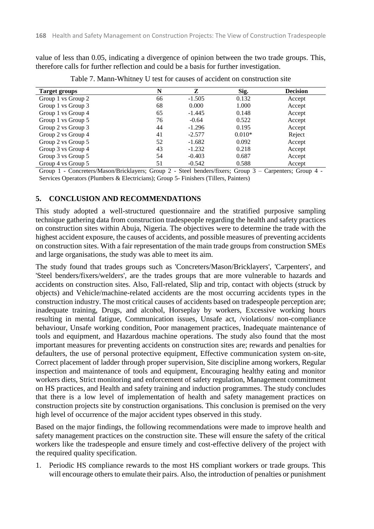value of less than 0.05, indicating a divergence of opinion between the two trade groups. This, therefore calls for further reflection and could be a basis for further investigation.

| <b>Target groups</b> | N  | Z        | Sig.     | <b>Decision</b> |
|----------------------|----|----------|----------|-----------------|
| Group 1 vs Group 2   | 66 | $-1.505$ | 0.132    | Accept          |
| Group 1 vs Group 3   | 68 | 0.000    | 1.000    | Accept          |
| Group 1 vs Group 4   | 65 | $-1.445$ | 0.148    | Accept          |
| Group 1 vs Group 5   | 76 | $-0.64$  | 0.522    | Accept          |
| Group 2 vs Group 3   | 44 | $-1.296$ | 0.195    | Accept          |
| Group 2 vs Group 4   | 41 | $-2.577$ | $0.010*$ | Reject          |
| Group 2 vs Group 5   | 52 | $-1.682$ | 0.092    | Accept          |
| Group 3 vs Group 4   | 43 | $-1.232$ | 0.218    | Accept          |
| Group 3 vs Group 5   | 54 | $-0.403$ | 0.687    | Accept          |
| Group 4 vs Group 5   | 51 | $-0.542$ | 0.588    | Accept          |

Table 7. Mann-Whitney U test for causes of accident on construction site

Group 1 - Concreters/Mason/Bricklayers; Group 2 - Steel benders/fixers; Group 3 – Carpenters; Group 4 - Services Operators (Plumbers & Electricians); Group 5- Finishers (Tillers, Painters)

### **5. CONCLUSION AND RECOMMENDATIONS**

This study adopted a well-structured questionnaire and the stratified purposive sampling technique gathering data from construction tradespeople regarding the health and safety practices on construction sites within Abuja, Nigeria. The objectives were to determine the trade with the highest accident exposure, the causes of accidents, and possible measures of preventing accidents on construction sites. With a fair representation of the main trade groups from construction SMEs and large organisations, the study was able to meet its aim.

The study found that trades groups such as 'Concreters/Mason/Bricklayers', 'Carpenters', and 'Steel benders/fixers/welders', are the trades groups that are more vulnerable to hazards and accidents on construction sites. Also, Fall-related, Slip and trip, contact with objects (struck by objects) and Vehicle/machine-related accidents are the most occurring accidents types in the construction industry. The most critical causes of accidents based on tradespeople perception are; inadequate training, Drugs, and alcohol, Horseplay by workers, Excessive working hours resulting in mental fatigue, Communication issues, Unsafe act, /violations/ non-compliance behaviour, Unsafe working condition, Poor management practices, Inadequate maintenance of tools and equipment, and Hazardous machine operations. The study also found that the most important measures for preventing accidents on construction sites are; rewards and penalties for defaulters, the use of personal protective equipment, Effective communication system on-site, Correct placement of ladder through proper supervision, Site discipline among workers, Regular inspection and maintenance of tools and equipment, Encouraging healthy eating and monitor workers diets, Strict monitoring and enforcement of safety regulation, Management commitment on HS practices, and Health and safety training and induction programmes. The study concludes that there is a low level of implementation of health and safety management practices on construction projects site by construction organisations. This conclusion is premised on the very high level of occurrence of the major accident types observed in this study.

Based on the major findings, the following recommendations were made to improve health and safety management practices on the construction site. These will ensure the safety of the critical workers like the tradespeople and ensure timely and cost-effective delivery of the project with the required quality specification.

1. Periodic HS compliance rewards to the most HS compliant workers or trade groups. This will encourage others to emulate their pairs. Also, the introduction of penalties or punishment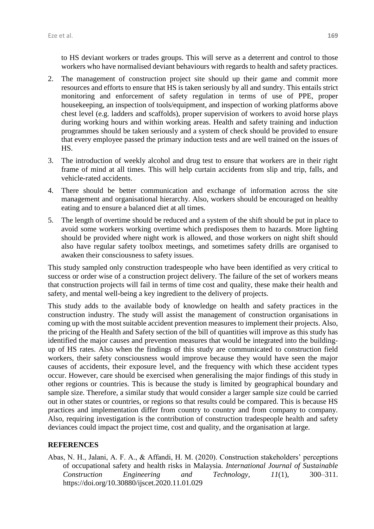to HS deviant workers or trades groups. This will serve as a deterrent and control to those workers who have normalised deviant behaviours with regards to health and safety practices.

- 2. The management of construction project site should up their game and commit more resources and efforts to ensure that HS is taken seriously by all and sundry. This entails strict monitoring and enforcement of safety regulation in terms of use of PPE, proper housekeeping, an inspection of tools/equipment, and inspection of working platforms above chest level (e.g. ladders and scaffolds), proper supervision of workers to avoid horse plays during working hours and within working areas. Health and safety training and induction programmes should be taken seriously and a system of check should be provided to ensure that every employee passed the primary induction tests and are well trained on the issues of HS.
- 3. The introduction of weekly alcohol and drug test to ensure that workers are in their right frame of mind at all times. This will help curtain accidents from slip and trip, falls, and vehicle-rated accidents.
- 4. There should be better communication and exchange of information across the site management and organisational hierarchy. Also, workers should be encouraged on healthy eating and to ensure a balanced diet at all times.
- 5. The length of overtime should be reduced and a system of the shift should be put in place to avoid some workers working overtime which predisposes them to hazards. More lighting should be provided where night work is allowed, and those workers on night shift should also have regular safety toolbox meetings, and sometimes safety drills are organised to awaken their consciousness to safety issues.

This study sampled only construction tradespeople who have been identified as very critical to success or order wise of a construction project delivery. The failure of the set of workers means that construction projects will fail in terms of time cost and quality, these make their health and safety, and mental well-being a key ingredient to the delivery of projects.

This study adds to the available body of knowledge on health and safety practices in the construction industry. The study will assist the management of construction organisations in coming up with the most suitable accident prevention measures to implement their projects. Also, the pricing of the Health and Safety section of the bill of quantities will improve as this study has identified the major causes and prevention measures that would be integrated into the buildingup of HS rates. Also when the findings of this study are communicated to construction field workers, their safety consciousness would improve because they would have seen the major causes of accidents, their exposure level, and the frequency with which these accident types occur. However, care should be exercised when generalising the major findings of this study in other regions or countries. This is because the study is limited by geographical boundary and sample size. Therefore, a similar study that would consider a larger sample size could be carried out in other states or countries, or regions so that results could be compared. This is because HS practices and implementation differ from country to country and from company to company. Also, requiring investigation is the contribution of construction tradespeople health and safety deviances could impact the project time, cost and quality, and the organisation at large.

### **REFERENCES**

Abas, N. H., Jalani, A. F. A., & Affandi, H. M. (2020). Construction stakeholders' perceptions of occupational safety and health risks in Malaysia. *International Journal of Sustainable Construction Engineering and Technology*, *11*(1), 300–311. https://doi.org/10.30880/ijscet.2020.11.01.029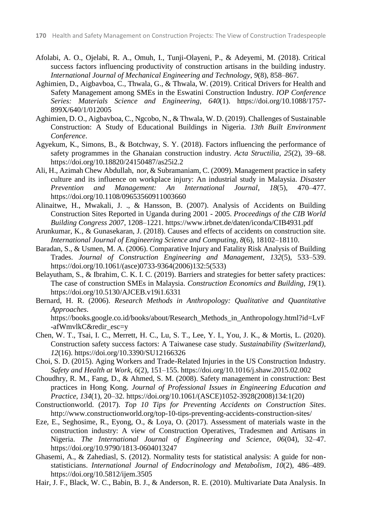- Afolabi, A. O., Ojelabi, R. A., Omuh, I., Tunji-Olayeni, P., & Adeyemi, M. (2018). Critical success factors influencing productivity of construction artisans in the building industry. *International Journal of Mechanical Engineering and Technology*, *9*(8), 858–867.
- Aghimien, D., Aigbavboa, C., Thwala, G., & Thwala, W. (2019). Critical Drivers for Health and Safety Management among SMEs in the Eswatini Construction Industry. *IOP Conference Series: Materials Science and Engineering*, *640*(1). https://doi.org/10.1088/1757- 899X/640/1/012005
- Aghimien, D. O., Aigbavboa, C., Ngcobo, N., & Thwala, W. D. (2019). Challenges of Sustainable Construction: A Study of Educational Buildings in Nigeria. *13th Built Environment Conference*.
- Agyekum, K., Simons, B., & Botchway, S. Y. (2018). Factors influencing the performance of safety programmes in the Ghanaian construction industry. *Acta Structilia*, *25*(2), 39–68. https://doi.org/10.18820/24150487/as25i2.2
- Ali, H., Azimah Chew Abdullah, nor, & Subramaniam, C. (2009). Management practice in safety culture and its influence on workplace injury: An industrial study in Malaysia. *Disaster Prevention and Management: An International Journal*, *18*(5), 470–477. https://doi.org/10.1108/09653560911003660
- Alinaitwe, H., Mwakali, J. ., & Hansson, B. (2007). Analysis of Accidents on Building Construction Sites Reported in Uganda during 2001 - 2005. *Proceedings of the CIB World Building Congress 2007*, 1208–1221. https://www.irbnet.de/daten/iconda/CIB4931.pdf
- Arunkumar, K., & Gunasekaran, J. (2018). Causes and effects of accidents on construction site. *International Journal of Engineering Science and Computing*, *8*(6), 18102–18110.
- Baradan, S., & Usmen, M. A. (2006). Comparative Injury and Fatality Risk Analysis of Building Trades. *Journal of Construction Engineering and Management*, *132*(5), 533–539. https://doi.org/10.1061/(asce)0733-9364(2006)132:5(533)
- Belayutham, S., & Ibrahim, C. K. I. C. (2019). Barriers and strategies for better safety practices: The case of construction SMEs in Malaysia. *Construction Economics and Building*, *19*(1). https://doi.org/10.5130/AJCEB.v19i1.6331
- Bernard, H. R. (2006). *Research Methods in Anthropology: Qualitative and Quantitative Approaches*. https://books.google.co.id/books/about/Research\_Methods\_in\_Anthropology.html?id=LvF -afWmvlkC&redir\_esc=y
- Chen, W. T., Tsai, I. C., Merrett, H. C., Lu, S. T., Lee, Y. I., You, J. K., & Mortis, L. (2020). Construction safety success factors: A Taiwanese case study. *Sustainability (Switzerland)*, *12*(16). https://doi.org/10.3390/SU12166326
- Choi, S. D. (2015). Aging Workers and Trade-Related Injuries in the US Construction Industry. *Safety and Health at Work*, *6*(2), 151–155. https://doi.org/10.1016/j.shaw.2015.02.002
- Choudhry, R. M., Fang, D., & Ahmed, S. M. (2008). Safety management in construction: Best practices in Hong Kong. *Journal of Professional Issues in Engineering Education and Practice*, *134*(1), 20–32. https://doi.org/10.1061/(ASCE)1052-3928(2008)134:1(20)
- Constructionworld. (2017). *Top 10 Tips for Preventing Accidents on Construction Sites*. http://www.constructionworld.org/top-10-tips-preventing-accidents-construction-sites/
- Eze, E., Seghosime, R., Eyong, O., & Loya, O. (2017). Assessment of materials waste in the construction industry: A view of Construction Operatives, Tradesmen and Artisans in Nigeria. *The International Journal of Engineering and Science*, *06*(04), 32–47. https://doi.org/10.9790/1813-0604013247
- Ghasemi, A., & Zahediasl, S. (2012). Normality tests for statistical analysis: A guide for nonstatisticians. *International Journal of Endocrinology and Metabolism*, *10*(2), 486–489. https://doi.org/10.5812/ijem.3505
- Hair, J. F., Black, W. C., Babin, B. J., & Anderson, R. E. (2010). Multivariate Data Analysis. In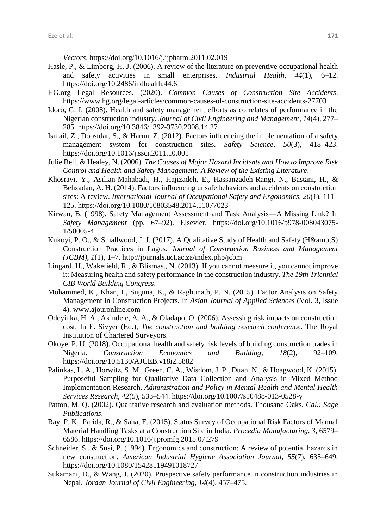*Vectors*. https://doi.org/10.1016/j.ijpharm.2011.02.019

- Hasle, P., & Limborg, H. J. (2006). A review of the literature on preventive occupational health and safety activities in small enterprises. *Industrial Health*, *44*(1), 6–12. https://doi.org/10.2486/indhealth.44.6
- HG.org Legal Resources. (2020). *Common Causes of Construction Site Accidents*. https://www.hg.org/legal-articles/common-causes-of-construction-site-accidents-27703
- Idoro, G. I. (2008). Health and safety management efforts as correlates of performance in the Nigerian construction industry. *Journal of Civil Engineering and Management*, *14*(4), 277– 285. https://doi.org/10.3846/1392-3730.2008.14.27
- Ismail, Z., Doostdar, S., & Harun, Z. (2012). Factors influencing the implementation of a safety management system for construction sites. *Safety Science*, *50*(3), 418–423. https://doi.org/10.1016/j.ssci.2011.10.001
- Julie Bell, & Healey, N. (2006). *The Causes of Major Hazard Incidents and How to Improve Risk Control and Health and Safety Management: A Review of the Existing Literature*.
- Khosravi, Y., Asilian-Mahabadi, H., Hajizadeh, E., Hassanzadeh-Rangi, N., Bastani, H., & Behzadan, A. H. (2014). Factors influencing unsafe behaviors and accidents on construction sites: A review. *International Journal of Occupational Safety and Ergonomics*, *20*(1), 111– 125. https://doi.org/10.1080/10803548.2014.11077023
- Kirwan, B. (1998). Safety Management Assessment and Task Analysis—A Missing Link? In *Safety Management* (pp. 67–92). Elsevier. https://doi.org/10.1016/b978-008043075- 1/50005-4
- Kukoyi, P. O., & Smallwood, J. J. (2017). A Qualitative Study of Health and Safety (H&S) Construction Practices in Lagos. *Journal of Construction Business and Management (JCBM)*, *1*(1), 1–7. http://journals.uct.ac.za/index.php/jcbm
- Lingard, H., Wakefield, R., & Blismas., N. (2013). If you cannot measure it, you cannot improve it: Measuring health and safety performance in the construction industry. *The 19th Triennial CIB World Building Congress*.
- Mohammed, K., Khan, I., Suguna, K., & Raghunath, P. N. (2015). Factor Analysis on Safety Management in Construction Projects. In *Asian Journal of Applied Sciences* (Vol. 3, Issue 4). www.ajouronline.com
- Odeyinka, H. A., Akindele, A. A., & Oladapo, O. (2006). Assessing risk impacts on construction cost. In E. Sivyer (Ed.), *The construction and building research conference*. The Royal Institution of Chartered Surveyors.
- Okoye, P. U. (2018). Occupational health and safety risk levels of building construction trades in Nigeria. *Construction Economics and Building*, *18*(2), 92–109. https://doi.org/10.5130/AJCEB.v18i2.5882
- Palinkas, L. A., Horwitz, S. M., Green, C. A., Wisdom, J. P., Duan, N., & Hoagwood, K. (2015). Purposeful Sampling for Qualitative Data Collection and Analysis in Mixed Method Implementation Research. *Administration and Policy in Mental Health and Mental Health Services Research*, *42*(5), 533–544. https://doi.org/10.1007/s10488-013-0528-y
- Patton, M. Q. (2002). Qualitative research and evaluation methods. Thousand Oaks. *Cal.: Sage Publications*.
- Ray, P. K., Parida, R., & Saha, E. (2015). Status Survey of Occupational Risk Factors of Manual Material Handling Tasks at a Construction Site in India. *Procedia Manufacturing*, *3*, 6579– 6586. https://doi.org/10.1016/j.promfg.2015.07.279
- Schneider, S., & Susi, P. (1994). Ergonomics and construction: A review of potential hazards in new construction. *American Industrial Hygiene Association Journal*, *55*(7), 635–649. https://doi.org/10.1080/15428119491018727
- Sukamani, D., & Wang, J. (2020). Prospective safety performance in construction industries in Nepal. *Jordan Journal of Civil Engineering*, *14*(4), 457–475.